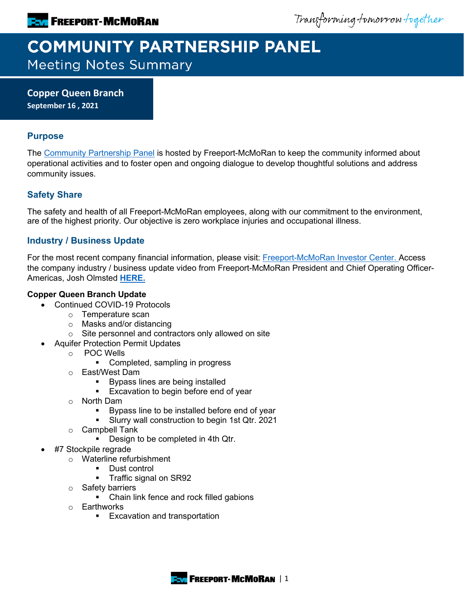Transforming tomorrow together

# **COMMUNITY PARTNERSHIP PANEL**

**Meeting Notes Summary** 

**Copper Queen Branch September 16 , 2021**

## **Purpose**

The [Community Partnership Panel](https://www.freeportinmycommunity.com/stakeholders/stakeholder-engagement-) is hosted by Freeport-McMoRan to keep the community informed about operational activities and to foster open and ongoing dialogue to develop thoughtful solutions and address community issues.

## **Safety Share**

The safety and health of all Freeport-McMoRan employees, along with our commitment to the environment, are of the highest priority. Our objective is zero workplace injuries and occupational illness.

## **Industry / Business Update**

For the most recent company financial information, please visit: **Freeport-McMoRan Investor Center.** Access the company industry / business update video from Freeport-McMoRan President and Chief Operating Officer-Americas, Josh Olmsted **[HERE.](https://fmi.hosted.panopto.com/Panopto/Pages/Viewer.aspx?id=1db79e82-512e-46a0-87fa-ad7b01320113)**

## **Copper Queen Branch Update**

- Continued COVID-19 Protocols
	- o Temperature scan
	- o Masks and/or distancing
	- o Site personnel and contractors only allowed on site
- Aquifer Protection Permit Updates
	- o POC Wells
		- Completed, sampling in progress
	- o East/West Dam
		- Bypass lines are being installed
		- **Excavation to begin before end of year**
	- o North Dam
		- **Bypass line to be installed before end of year**
		- **Slurry wall construction to begin 1st Qtr. 2021**
	- o Campbell Tank
		- **Design to be completed in 4th Qtr.**
- #7 Stockpile regrade
	- o Waterline refurbishment
		- Dust control
		- **Traffic signal on SR92**
	- o Safety barriers
		- Chain link fence and rock filled gabions
	- o Earthworks
		- **Excavation and transportation**